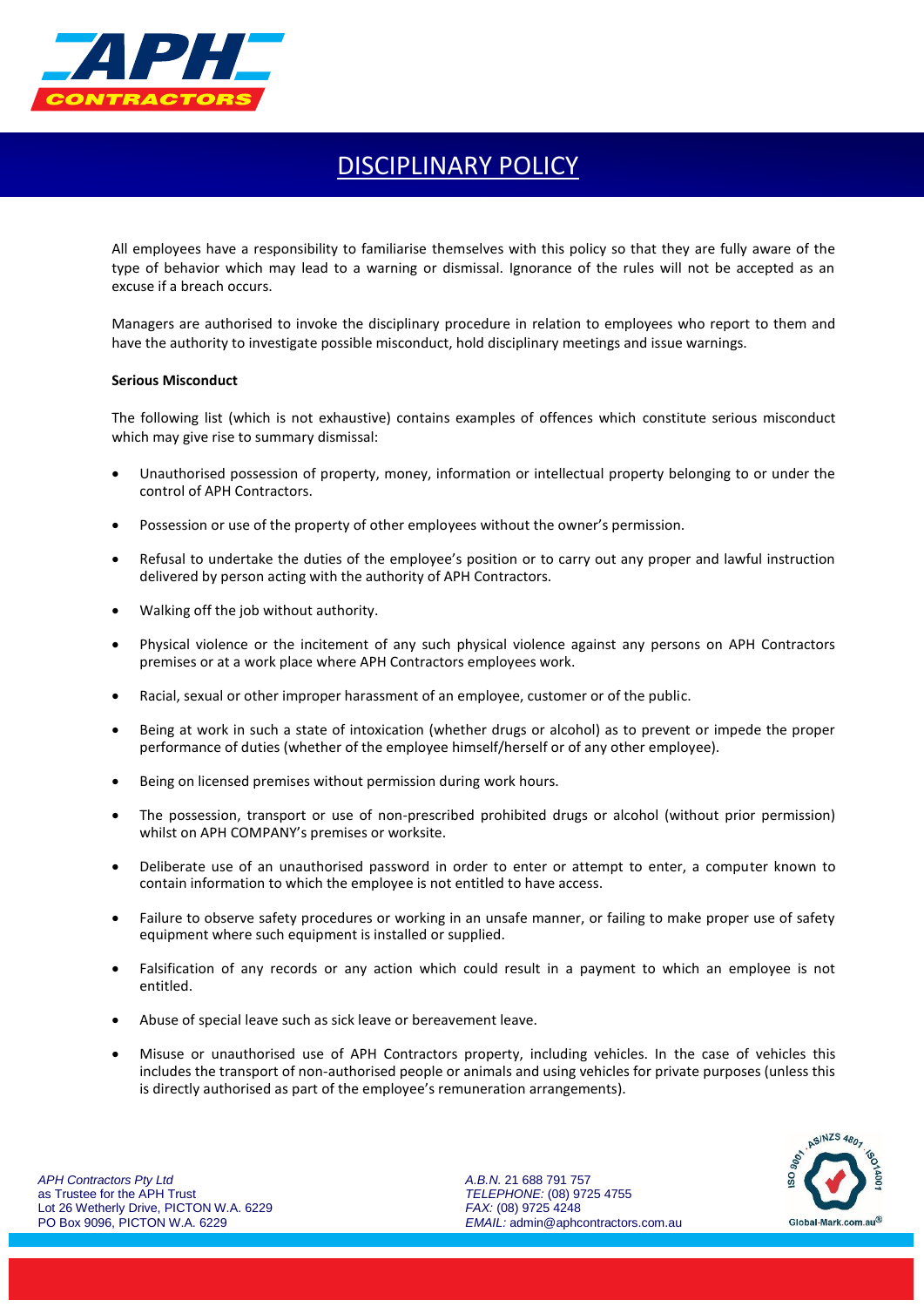

## DISCIPLINARY POLICY

All employees have a responsibility to familiarise themselves with this policy so that they are fully aware of the type of behavior which may lead to a warning or dismissal. Ignorance of the rules will not be accepted as an excuse if a breach occurs.

Managers are authorised to invoke the disciplinary procedure in relation to employees who report to them and have the authority to investigate possible misconduct, hold disciplinary meetings and issue warnings.

## **Serious Misconduct**

The following list (which is not exhaustive) contains examples of offences which constitute serious misconduct which may give rise to summary dismissal:

- Unauthorised possession of property, money, information or intellectual property belonging to or under the control of APH Contractors.
- Possession or use of the property of other employees without the owner's permission.
- Refusal to undertake the duties of the employee's position or to carry out any proper and lawful instruction delivered by person acting with the authority of APH Contractors.
- Walking off the job without authority.
- Physical violence or the incitement of any such physical violence against any persons on APH Contractors premises or at a work place where APH Contractors employees work.
- Racial, sexual or other improper harassment of an employee, customer or of the public.
- Being at work in such a state of intoxication (whether drugs or alcohol) as to prevent or impede the proper performance of duties (whether of the employee himself/herself or of any other employee).
- Being on licensed premises without permission during work hours.
- The possession, transport or use of non-prescribed prohibited drugs or alcohol (without prior permission) whilst on APH COMPANY's premises or worksite.
- Deliberate use of an unauthorised password in order to enter or attempt to enter, a computer known to contain information to which the employee is not entitled to have access.
- Failure to observe safety procedures or working in an unsafe manner, or failing to make proper use of safety equipment where such equipment is installed or supplied.
- Falsification of any records or any action which could result in a payment to which an employee is not entitled.
- Abuse of special leave such as sick leave or bereavement leave.
- Misuse or unauthorised use of APH Contractors property, including vehicles. In the case of vehicles this includes the transport of non-authorised people or animals and using vehicles for private purposes (unless this is directly authorised as part of the employee's remuneration arrangements).

*A.B.N.* 21 688 791 757 *TELEPHONE:* (08) 9725 4755 *FAX:* (08) 9725 4248 *EMAIL:* admin@aphcontractors.com.au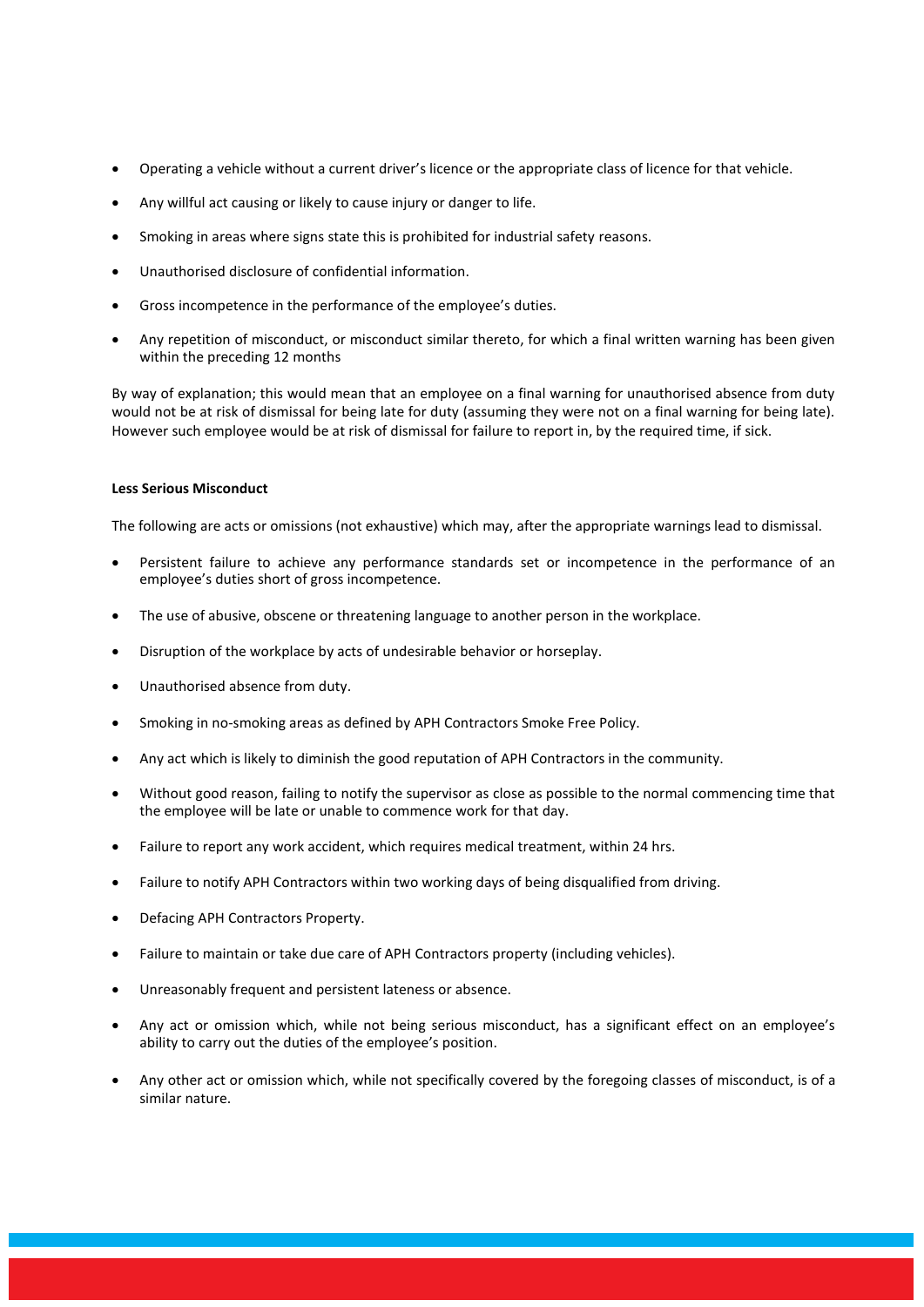- Operating a vehicle without a current driver's licence or the appropriate class of licence for that vehicle.
- Any willful act causing or likely to cause injury or danger to life.
- Smoking in areas where signs state this is prohibited for industrial safety reasons.
- Unauthorised disclosure of confidential information.
- Gross incompetence in the performance of the employee's duties.
- Any repetition of misconduct, or misconduct similar thereto, for which a final written warning has been given within the preceding 12 months

By way of explanation; this would mean that an employee on a final warning for unauthorised absence from duty would not be at risk of dismissal for being late for duty (assuming they were not on a final warning for being late). However such employee would be at risk of dismissal for failure to report in, by the required time, if sick.

## **Less Serious Misconduct**

The following are acts or omissions (not exhaustive) which may, after the appropriate warnings lead to dismissal.

- Persistent failure to achieve any performance standards set or incompetence in the performance of an employee's duties short of gross incompetence.
- The use of abusive, obscene or threatening language to another person in the workplace.
- Disruption of the workplace by acts of undesirable behavior or horseplay.
- Unauthorised absence from duty.
- Smoking in no-smoking areas as defined by APH Contractors Smoke Free Policy.
- Any act which is likely to diminish the good reputation of APH Contractors in the community.
- Without good reason, failing to notify the supervisor as close as possible to the normal commencing time that the employee will be late or unable to commence work for that day.
- Failure to report any work accident, which requires medical treatment, within 24 hrs.
- Failure to notify APH Contractors within two working days of being disqualified from driving.
- Defacing APH Contractors Property.
- Failure to maintain or take due care of APH Contractors property (including vehicles).
- Unreasonably frequent and persistent lateness or absence.
- Any act or omission which, while not being serious misconduct, has a significant effect on an employee's ability to carry out the duties of the employee's position.
- Any other act or omission which, while not specifically covered by the foregoing classes of misconduct, is of a similar nature.